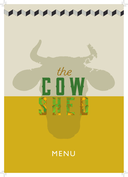

THE REAL PROPERTY OF REAL PROPERTY AND

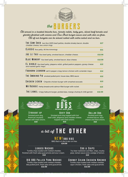

**All served in a toasted brioche bun, tomato relish, baby gem, sliced beef tomato and gherkin finished with onions and Cow Shed burger sauce and with skin on fries. All of our burgers can be served naked with extra salad and no bun.**

| <b>THE COW SHED</b> two 6oz 100% beef patties, double streaky bacon, double<br>cheddar cheese, two onion rings    | £17    |
|-------------------------------------------------------------------------------------------------------------------|--------|
| <b>LLASSIC</b> 60z patty. All the trimmings                                                                       | £11    |
| JOE LE TAXI 60z beef patty, smoked bacon, cheddar cheese.                                                         | £12.50 |
| <b>BLUE MONDAY</b> 60z beef patty, smoked bacon, blue cheese.                                                     | £12.50 |
| <b>EL DIRBLO</b> 60z beef patty, jalapeno relish, grilled padron peppers, gooey cheese<br>and roasted garlic mayo | £13    |
| <b>FOGHORN LEGHORN</b> salt & pepper crispy lemon chicken with coriander mayo                                     | £12    |
| THE SMOKING PIG smoked pulled pork, house slaw, BBQ sauce                                                         | £12    |
| <b>CHICKEN LICKEN</b> Chipotle chicken burger with smashed avocado                                                | £13    |
| MR RUSHUIE Herby breadcrumb salmon fillet burger with rocket                                                      | £13    |
| THE LIDNEL Crispy halloumi burger, pickled slaw, mango chutney & chilli garnish                                   | £12.50 |







Straight up Smoked pork dog, American mustard, served with fried onions. £10

Dirty Dog Smoked pork dog topped with hot beef chilli, jalapenos and cheddar cheese, topped with fried onions. £12

Dollar Dog Smoked pork dog, smoked bacon, blue cheese and fried onions. £12

## $a$  bit of  $T$  H E O T H E R

### **NEW!BBORIBS**

BBQ Rack of ribs & skin on fries £14.50

### Loaded Nachos

Tortilla chips loaded with melted cheddar, finished with fresh salsa guacamole and sour cream.

#### £10

### BIG BBQ Pulled Pork Nachos

Tortilla chips loaded with melted cheddar, bbq pulled pork, fresh salsa and guacamole. £12.50

### Cod & Chips

7oz beer-battered cod fillet, chips, mushy peas, tartare sauce and a wedge of lemon. £12

### Chunky Cajun Chicken Nachos

Tortilla chips loaded with melted cheddar, cajun chicken, fresh salsa and guacamole. £12.50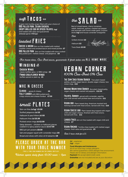# **soft** Tacos £12

3 open mini tortilla wraps filled with your choice of BBQ pulled pork, Cajun chicken, crispy grilled cod or spiced falafel *(vg)* and loaded with salsa and guacamole *(choose up to 3 fillings)* 

# **loaded** FRIES

**CHEESE & BACON** Skin on fries loaded with melted cheddar cheese and smoked bacon and mixed pickles £7 **BBQ PULLED PURK** Skin on fries loaded with slow cooked bbq pulled pork melted cheese and jalapenos £8

# £10 **the** SA LA D

Bed of mixed leaves, cherry tomatoes, radish, beetroot, quinoa, roasted red pepper and avocado with home made garlic crouton sticks *(vg)* and house coriander vinaigrette

**Add**

Grilled chicken £2





Tuna Steak £3.50

Our house slaw, Cow Shed sauce, guacamole & fresh salsa are **ALL HOME MADE** 

## Winging **it**

 Panko cauliflower wings Chicken Wings classic buffalo spicy or BBQ wings  $£6$ buffalo spiced or plain vg  $£5$ 

## MAC N CHEESE

 $CLASSIC -  $gooey 6$  cheesey 6$ **FULLY LOADED** with BBQ pulled pork, crispy onions and cheese fondue £7.50

# **small** PLATES

Skin-on fries *(v/vg)* £3.50 Stuffed jalapenos (v) £5 Halloumi & pea fritters *(v)* £6 Halloumi fries *(v)* £5.50

Pickled onion rings *(v)* £2.50

Satay skewers - chicken or halloumi pieces coated in a spicy peanut sauce *(v)* £7.50

BBQ piri piri prawns £8.50

Salt and pepper squid with coriander mayo **£6** Bread and olives with olive oil & balsamic  $£8$ 

## **100% Cow Shed 0% Cow** vegan corner

THE COW SHED VEGAN BURGER Two plant-based patties, double vegan bacon, double vegan cheeze, two onion rings. £16 

**MOVING MOUNTAINS BURGER** 60z plant-based patty, vegan cheeze and roasted red peppers. £12.50 

**FALAFEL BURGER** spiced with coriander, paprika and chilli served with pickled slaw and sriracha. **£11** 

**VEGAN DOG** Plant-based dog, American mustard and ketchup served with fried onions. Served with fries. **£10** 

VEGAN CHEEZE DOG Plant-based dog topped with vegan chilli and vegan cheeze, finished with fried onions. Served with fries. **£11**<br>……………………………………………………………

**LOADED FRIES** skin on fries loaded with vegan chilli and cheeze. E7 

**VEGAN NACHOS** Tortilla chips loaded with melted vegan cheeze, fresh salsa and guacamole. £9

**Add 3 bean chilli for £2.** 

### P L EA S E O RDER AT TH E BA R WITH YOUR TABL (YOU'LL FIND YOUR NUMBER ON THE CANDLE BOTTLES)

Kitchen opens daily from 12.00 noon - 9pm

The the theory of the theory

*(v)*- vegetarian *(vg)* - vegan

### Food Allergies and Intolerances

Payment We accept debit/credit cards **Gratuities** are not included and are at your discretion All of our food may contain allergens. We cannot guarantee a 100% allergen free environment. Please ask for dietary and allergen information.